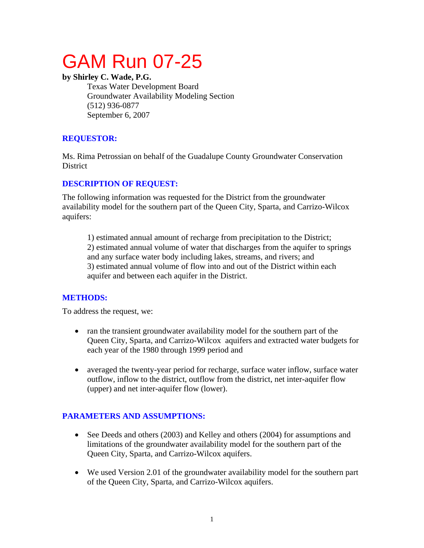# GAM Run 07-25

**by Shirley C. Wade, P.G.** 

Texas Water Development Board Groundwater Availability Modeling Section (512) 936-0877 September 6, 2007

## **REQUESTOR:**

Ms. Rima Petrossian on behalf of the Guadalupe County Groundwater Conservation **District** 

## **DESCRIPTION OF REQUEST:**

The following information was requested for the District from the groundwater availability model for the southern part of the Queen City, Sparta, and Carrizo-Wilcox aquifers:

1) estimated annual amount of recharge from precipitation to the District; 2) estimated annual volume of water that discharges from the aquifer to springs and any surface water body including lakes, streams, and rivers; and 3) estimated annual volume of flow into and out of the District within each aquifer and between each aquifer in the District.

## **METHODS:**

To address the request, we:

- ran the transient groundwater availability model for the southern part of the Queen City, Sparta, and Carrizo-Wilcox aquifers and extracted water budgets for each year of the 1980 through 1999 period and
- averaged the twenty-year period for recharge, surface water inflow, surface water outflow, inflow to the district, outflow from the district, net inter-aquifer flow (upper) and net inter-aquifer flow (lower).

## **PARAMETERS AND ASSUMPTIONS:**

- See Deeds and others (2003) and Kelley and others (2004) for assumptions and limitations of the groundwater availability model for the southern part of the Queen City, Sparta, and Carrizo-Wilcox aquifers.
- We used Version 2.01 of the groundwater availability model for the southern part of the Queen City, Sparta, and Carrizo-Wilcox aquifers.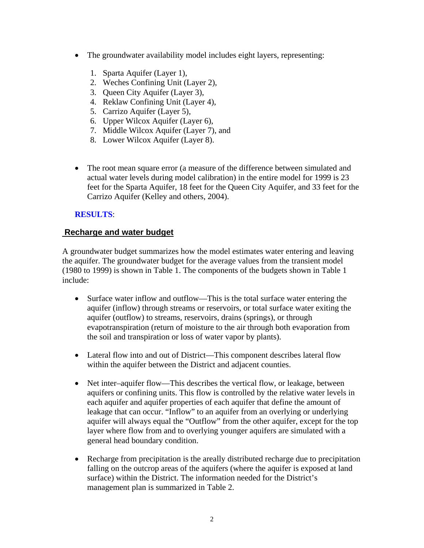- The groundwater availability model includes eight layers, representing:
	- 1. Sparta Aquifer (Layer 1),
	- 2. Weches Confining Unit (Layer 2),
	- 3. Queen City Aquifer (Layer 3),
	- 4. Reklaw Confining Unit (Layer 4),
	- 5. Carrizo Aquifer (Layer 5),
	- 6. Upper Wilcox Aquifer (Layer 6),
	- 7. Middle Wilcox Aquifer (Layer 7), and
	- 8. Lower Wilcox Aquifer (Layer 8).
- The root mean square error (a measure of the difference between simulated and actual water levels during model calibration) in the entire model for 1999 is 23 feet for the Sparta Aquifer, 18 feet for the Queen City Aquifer, and 33 feet for the Carrizo Aquifer (Kelley and others, 2004).

#### **RESULTS**:

#### **Recharge and water budget**

A groundwater budget summarizes how the model estimates water entering and leaving the aquifer. The groundwater budget for the average values from the transient model (1980 to 1999) is shown in Table 1. The components of the budgets shown in Table 1 include:

- Surface water inflow and outflow—This is the total surface water entering the aquifer (inflow) through streams or reservoirs, or total surface water exiting the aquifer (outflow) to streams, reservoirs, drains (springs), or through evapotranspiration (return of moisture to the air through both evaporation from the soil and transpiration or loss of water vapor by plants).
- Lateral flow into and out of District—This component describes lateral flow within the aquifer between the District and adjacent counties.
- Net inter–aquifer flow—This describes the vertical flow, or leakage, between aquifers or confining units. This flow is controlled by the relative water levels in each aquifer and aquifer properties of each aquifer that define the amount of leakage that can occur. "Inflow" to an aquifer from an overlying or underlying aquifer will always equal the "Outflow" from the other aquifer, except for the top layer where flow from and to overlying younger aquifers are simulated with a general head boundary condition.
- Recharge from precipitation is the areally distributed recharge due to precipitation falling on the outcrop areas of the aquifers (where the aquifer is exposed at land surface) within the District. The information needed for the District's management plan is summarized in Table 2.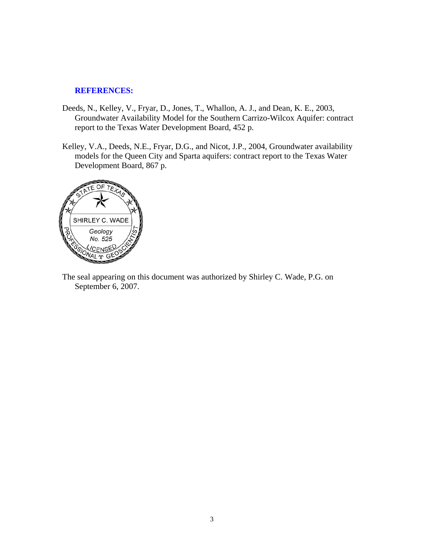#### **REFERENCES:**

- Deeds, N., Kelley, V., Fryar, D., Jones, T., Whallon, A. J., and Dean, K. E., 2003, Groundwater Availability Model for the Southern Carrizo-Wilcox Aquifer: contract report to the Texas Water Development Board, 452 p.
- Kelley, V.A., Deeds, N.E., Fryar, D.G., and Nicot, J.P., 2004, Groundwater availability models for the Queen City and Sparta aquifers: contract report to the Texas Water Development Board, 867 p.



The seal appearing on this document was authorized by Shirley C. Wade, P.G. on September 6, 2007.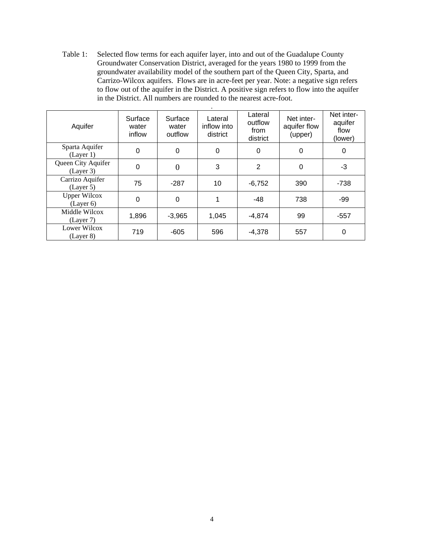Table 1:Selected flow terms for each aquifer layer, into and out of the Guadalupe County Groundwater Conservation District, averaged for the years 1980 to 1999 from the groundwater availability model of the southern part of the Queen City, Sparta, and Carrizo-Wilcox aquifers. Flows are in acre-feet per year. Note: a negative sign refers to flow out of the aquifer in the District. A positive sign refers to flow into the aquifer in the District. All numbers are rounded to the nearest acre-foot.

| Aquifer                          | Surface<br>water<br>inflow | Surface<br>water<br>outflow | Lateral<br>inflow into<br>district | Lateral<br>outflow<br>from<br>district | Net inter-<br>aquifer flow<br>(upper) | Net inter-<br>aquifer<br>flow<br>(lower) |
|----------------------------------|----------------------------|-----------------------------|------------------------------------|----------------------------------------|---------------------------------------|------------------------------------------|
| Sparta Aquifer<br>(Layer 1)      | $\overline{0}$             | 0                           | 0                                  | 0                                      | 0                                     | 0                                        |
| Queen City Aquifer<br>(Layer 3)  | 0                          | $\overline{0}$              | 3                                  | 2                                      | $\Omega$                              | -3                                       |
| Carrizo Aquifer<br>(Layer 5)     | 75                         | $-287$                      | 10                                 | $-6,752$                               | 390                                   | $-738$                                   |
| <b>Upper Wilcox</b><br>(Layer 6) | 0                          | $\overline{0}$              | 1                                  | $-48$                                  | 738                                   | $-99$                                    |
| Middle Wilcox<br>(Layer 7)       | 1,896                      | $-3,965$                    | 1,045                              | $-4,874$                               | 99                                    | $-557$                                   |
| Lower Wilcox<br>(Layer 8)        | 719                        | $-605$                      | 596                                | $-4,378$                               | 557                                   | 0                                        |